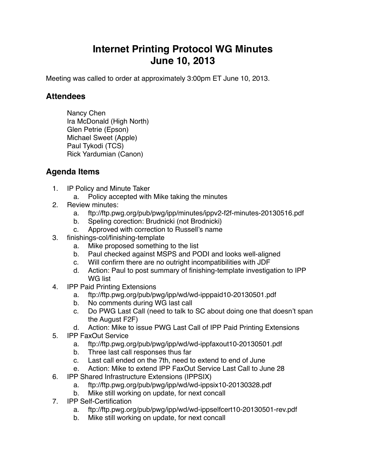## **Internet Printing Protocol WG Minutes June 10, 2013**

Meeting was called to order at approximately 3:00pm ET June 10, 2013.

## **Attendees**

Nancy Chen Ira McDonald (High North) Glen Petrie (Epson) Michael Sweet (Apple) Paul Tykodi (TCS) Rick Yardumian (Canon)

## **Agenda Items**

- 1. IP Policy and Minute Taker
	- a. Policy accepted with Mike taking the minutes
- 2. Review minutes:
	- a. ftp://ftp.pwg.org/pub/pwg/ipp/minutes/ippv2-f2f-minutes-20130516.pdf
	- b. Speling corection: Brudnicki (not Brodnicki)
	- c. Approved with correction to Russell's name
- 3. finishings-col/finishing-template
	- a. Mike proposed something to the list
	- b. Paul checked against MSPS and PODI and looks well-aligned
	- c. Will confirm there are no outright incompatibilities with JDF
	- d. Action: Paul to post summary of finishing-template investigation to IPP WG list
- 4. IPP Paid Printing Extensions
	- a. ftp://ftp.pwg.org/pub/pwg/ipp/wd/wd-ipppaid10-20130501.pdf
	- b. No comments during WG last call
	- c. Do PWG Last Call (need to talk to SC about doing one that doesn't span the August F2F)
	- d. Action: Mike to issue PWG Last Call of IPP Paid Printing Extensions
- 5. IPP FaxOut Service
	- a. ftp://ftp.pwg.org/pub/pwg/ipp/wd/wd-ippfaxout10-20130501.pdf
	- b. Three last call responses thus far
	- c. Last call ended on the 7th, need to extend to end of June
	- e. Action: Mike to extend IPP FaxOut Service Last Call to June 28
- 6. IPP Shared Infrastructure Extensions (IPPSIX)
	- a. ftp://ftp.pwg.org/pub/pwg/ipp/wd/wd-ippsix10-20130328.pdf
	- b. Mike still working on update, for next concall
- 7. IPP Self-Certification
	- a. ftp://ftp.pwg.org/pub/pwg/ipp/wd/wd-ippselfcert10-20130501-rev.pdf
	- b. Mike still working on update, for next concall